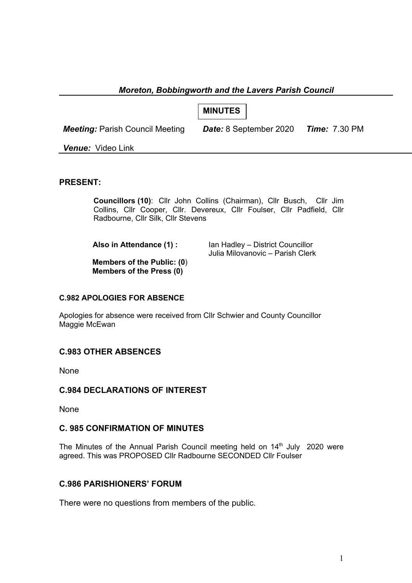### *Moreton, Bobbingworth and the Lavers Parish Council*

**MINUTES**

*Meeting:* Parish Council Meeting *Date:* 8 September 2020 *Time:* 7.30 PM

*Venue:* Video Link

#### **PRESENT:**

**Councillors (10)**: Cllr John Collins (Chairman), Cllr Busch, Cllr Jim Collins, Cllr Cooper, Cllr. Devereux, Cllr Foulser, Cllr Padfield, Cllr Radbourne, Cllr Silk, Cllr Stevens

**Also in Attendance (1) : Ian Hadley – District Councillor** Julia Milovanovic – Parish Clerk

**Members of the Public: (0**) **Members of the Press (0)**

#### **C.982 APOLOGIES FOR ABSENCE**

Apologies for absence were received from Cllr Schwier and County Councillor Maggie McEwan

### **C.983 OTHER ABSENCES**

**None** 

### **C.984 DECLARATIONS OF INTEREST**

None

### **C. 985 CONFIRMATION OF MINUTES**

The Minutes of the Annual Parish Council meeting held on 14<sup>th</sup> July 2020 were agreed. This was PROPOSED Cllr Radbourne SECONDED Cllr Foulser

### **C.986 PARISHIONERS' FORUM**

There were no questions from members of the public.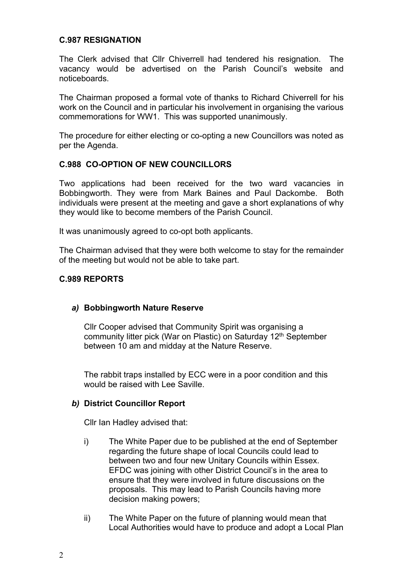### **C.987 RESIGNATION**

The Clerk advised that Cllr Chiverrell had tendered his resignation. The vacancy would be advertised on the Parish Council's website and noticeboards.

The Chairman proposed a formal vote of thanks to Richard Chiverrell for his work on the Council and in particular his involvement in organising the various commemorations for WW1. This was supported unanimously.

The procedure for either electing or co-opting a new Councillors was noted as per the Agenda.

### **C.988 CO-OPTION OF NEW COUNCILLORS**

Two applications had been received for the two ward vacancies in Bobbingworth. They were from Mark Baines and Paul Dackombe. Both individuals were present at the meeting and gave a short explanations of why they would like to become members of the Parish Council.

It was unanimously agreed to co-opt both applicants.

The Chairman advised that they were both welcome to stay for the remainder of the meeting but would not be able to take part.

#### **C.989 REPORTS**

#### *a)* **Bobbingworth Nature Reserve**

Cllr Cooper advised that Community Spirit was organising a community litter pick (War on Plastic) on Saturday 12<sup>th</sup> September between 10 am and midday at the Nature Reserve.

The rabbit traps installed by ECC were in a poor condition and this would be raised with Lee Saville.

#### *b)* **District Councillor Report**

Cllr Ian Hadley advised that:

- i) The White Paper due to be published at the end of September regarding the future shape of local Councils could lead to between two and four new Unitary Councils within Essex. EFDC was joining with other District Council's in the area to ensure that they were involved in future discussions on the proposals. This may lead to Parish Councils having more decision making powers;
- ii) The White Paper on the future of planning would mean that Local Authorities would have to produce and adopt a Local Plan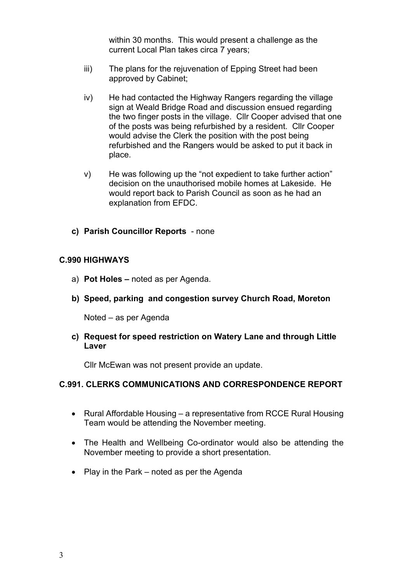within 30 months. This would present a challenge as the current Local Plan takes circa 7 years;

- iii) The plans for the rejuvenation of Epping Street had been approved by Cabinet;
- iv) He had contacted the Highway Rangers regarding the village sign at Weald Bridge Road and discussion ensued regarding the two finger posts in the village. Cllr Cooper advised that one of the posts was being refurbished by a resident. Cllr Cooper would advise the Clerk the position with the post being refurbished and the Rangers would be asked to put it back in place.
- v) He was following up the "not expedient to take further action" decision on the unauthorised mobile homes at Lakeside. He would report back to Parish Council as soon as he had an explanation from EFDC.
- **c) Parish Councillor Reports** none

### **C.990 HIGHWAYS**

- a) **Pot Holes –** noted as per Agenda.
- **b) Speed, parking and congestion survey Church Road, Moreton**

Noted – as per Agenda

**c) Request for speed restriction on Watery Lane and through Little Laver**

Cllr McEwan was not present provide an update.

#### **C.991. CLERKS COMMUNICATIONS AND CORRESPONDENCE REPORT**

- Rural Affordable Housing a representative from RCCE Rural Housing Team would be attending the November meeting.
- The Health and Wellbeing Co-ordinator would also be attending the November meeting to provide a short presentation.
- Play in the Park noted as per the Agenda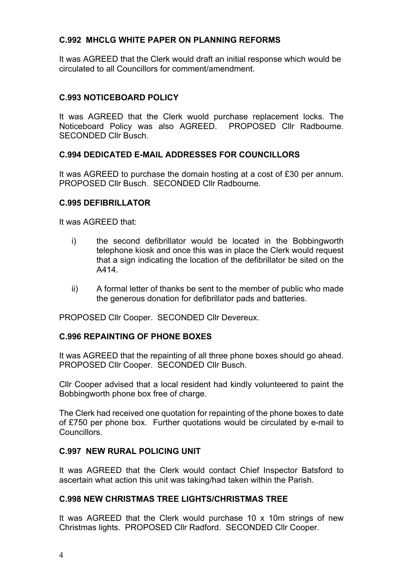# **C.992 MHCLG WHITE PAPER ON PLANNING REFORMS**

It was AGREED that the Clerk would draft an initial response which would be circulated to all Councillors for comment/amendment.

### **C.993 NOTICEBOARD POLICY**

It was AGREED that the Clerk wuold purchase replacement locks. The Noticeboard Policy was also AGREED. PROPOSED Cllr Radbourne. SECONDED Cllr Busch.

### **C.994 DEDICATED E-MAIL ADDRESSES FOR COUNCILLORS**

It was AGREED to purchase the domain hosting at a cost of £30 per annum. PROPOSED Cllr Busch. SECONDED Cllr Radbourne.

#### **C.995 DEFIBRILLATOR**

It was AGREED that:

- i) the second defibrillator would be located in the Bobbingworth telephone kiosk and once this was in place the Clerk would request that a sign indicating the location of the defibrillator be sited on the A414.
- ii) A formal letter of thanks be sent to the member of public who made the generous donation for defibrillator pads and batteries.

PROPOSED Cllr Cooper. SECONDED Cllr Devereux.

#### **C.996 REPAINTING OF PHONE BOXES**

It was AGREED that the repainting of all three phone boxes should go ahead. PROPOSED Cllr Cooper. SECONDED Cllr Busch.

Cllr Cooper advised that a local resident had kindly volunteered to paint the Bobbingworth phone box free of charge.

The Clerk had received one quotation for repainting of the phone boxes to date of £750 per phone box. Further quotations would be circulated by e-mail to **Councillors** 

#### **C.997 NEW RURAL POLICING UNIT**

It was AGREED that the Clerk would contact Chief Inspector Batsford to ascertain what action this unit was taking/had taken within the Parish.

#### **C.998 NEW CHRISTMAS TREE LIGHTS/CHRISTMAS TREE**

It was AGREED that the Clerk would purchase 10 x 10m strings of new Christmas lights. PROPOSED Cllr Radford. SECONDED Cllr Cooper.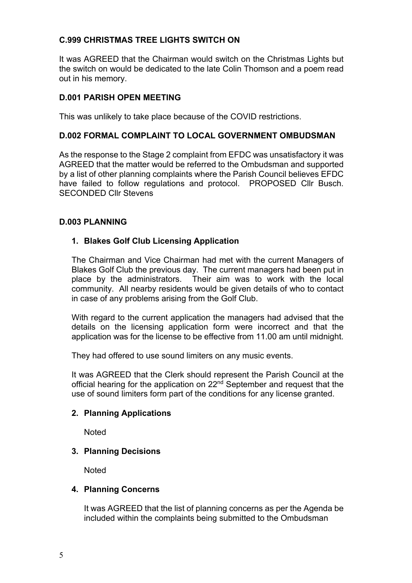# **C.999 CHRISTMAS TREE LIGHTS SWITCH ON**

It was AGREED that the Chairman would switch on the Christmas Lights but the switch on would be dedicated to the late Colin Thomson and a poem read out in his memory.

# **D.001 PARISH OPEN MEETING**

This was unlikely to take place because of the COVID restrictions.

# **D.002 FORMAL COMPLAINT TO LOCAL GOVERNMENT OMBUDSMAN**

As the response to the Stage 2 complaint from EFDC was unsatisfactory it was AGREED that the matter would be referred to the Ombudsman and supported by a list of other planning complaints where the Parish Council believes EFDC have failed to follow regulations and protocol. PROPOSED Cllr Busch. SECONDED Cllr Stevens

#### **D.003 PLANNING**

### **1. Blakes Golf Club Licensing Application**

The Chairman and Vice Chairman had met with the current Managers of Blakes Golf Club the previous day. The current managers had been put in place by the administrators. Their aim was to work with the local community. All nearby residents would be given details of who to contact in case of any problems arising from the Golf Club.

With regard to the current application the managers had advised that the details on the licensing application form were incorrect and that the application was for the license to be effective from 11.00 am until midnight.

They had offered to use sound limiters on any music events.

It was AGREED that the Clerk should represent the Parish Council at the official hearing for the application on  $22<sup>nd</sup>$  September and request that the use of sound limiters form part of the conditions for any license granted.

### **2. Planning Applications**

**Noted** 

### **3. Planning Decisions**

**Noted** 

#### **4. Planning Concerns**

It was AGREED that the list of planning concerns as per the Agenda be included within the complaints being submitted to the Ombudsman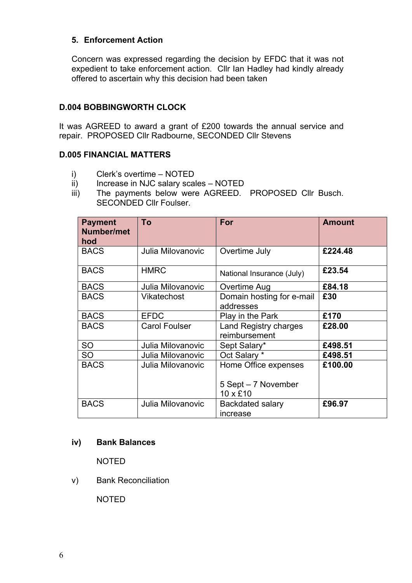## **5. Enforcement Action**

Concern was expressed regarding the decision by EFDC that it was not expedient to take enforcement action. Cllr Ian Hadley had kindly already offered to ascertain why this decision had been taken

## **D.004 BOBBINGWORTH CLOCK**

It was AGREED to award a grant of £200 towards the annual service and repair. PROPOSED Cllr Radbourne, SECONDED Cllr Stevens

#### **D.005 FINANCIAL MATTERS**

- i) Clerk's overtime NOTED
- ii) Increase in NJC salary scales NOTED
- iii) The payments below were AGREED. PROPOSED Cllr Busch. SECONDED Cllr Foulser.

| <b>Payment</b><br>Number/met<br>hod | To                   | For                                                     | <b>Amount</b> |
|-------------------------------------|----------------------|---------------------------------------------------------|---------------|
| <b>BACS</b>                         | Julia Milovanovic    | Overtime July                                           | £224.48       |
| <b>BACS</b>                         | <b>HMRC</b>          | National Insurance (July)                               | £23.54        |
| <b>BACS</b>                         | Julia Milovanovic    | Overtime Aug                                            | £84.18        |
| <b>BACS</b>                         | <b>Vikatechost</b>   | Domain hosting for e-mail<br>addresses                  | £30           |
| <b>BACS</b>                         | <b>EFDC</b>          | Play in the Park                                        | £170          |
| <b>BACS</b>                         | <b>Carol Foulser</b> | Land Registry charges<br>reimbursement                  | £28.00        |
| <b>SO</b>                           | Julia Milovanovic    | Sept Salary*                                            | £498.51       |
| <b>SO</b>                           | Julia Milovanovic    | Oct Salary *                                            | £498.51       |
| <b>BACS</b>                         | Julia Milovanovic    | Home Office expenses<br>5 Sept - 7 November<br>10 x £10 | £100.00       |
| <b>BACS</b>                         | Julia Milovanovic    | Backdated salary<br>increase                            | £96.97        |

#### **iv) Bank Balances**

NOTED

### v) Bank Reconciliation

NOTED